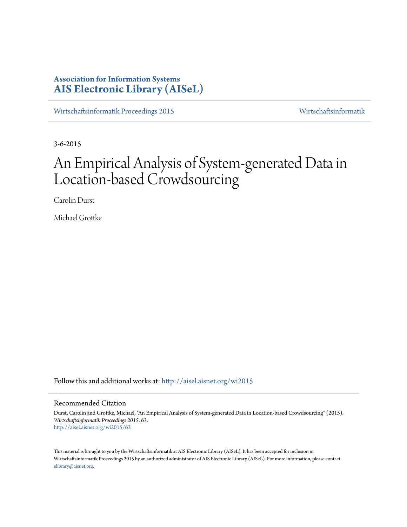# **Association for Information Systems [AIS Electronic Library \(AISeL\)](http://aisel.aisnet.org?utm_source=aisel.aisnet.org%2Fwi2015%2F63&utm_medium=PDF&utm_campaign=PDFCoverPages)**

[Wirtschaftsinformatik Proceedings 2015](http://aisel.aisnet.org/wi2015?utm_source=aisel.aisnet.org%2Fwi2015%2F63&utm_medium=PDF&utm_campaign=PDFCoverPages) [Wirtschaftsinformatik](http://aisel.aisnet.org/wi?utm_source=aisel.aisnet.org%2Fwi2015%2F63&utm_medium=PDF&utm_campaign=PDFCoverPages)

3-6-2015

# An Empirical Analysis of System-generated Data in Location-based Crowdsourcing

Carolin Durst

Michael Grottke

Follow this and additional works at: [http://aisel.aisnet.org/wi2015](http://aisel.aisnet.org/wi2015?utm_source=aisel.aisnet.org%2Fwi2015%2F63&utm_medium=PDF&utm_campaign=PDFCoverPages)

# Recommended Citation

Durst, Carolin and Grottke, Michael, "An Empirical Analysis of System-generated Data in Location-based Crowdsourcing" (2015). *Wirtschaftsinformatik Proceedings 2015*. 63. [http://aisel.aisnet.org/wi2015/63](http://aisel.aisnet.org/wi2015/63?utm_source=aisel.aisnet.org%2Fwi2015%2F63&utm_medium=PDF&utm_campaign=PDFCoverPages)

This material is brought to you by the Wirtschaftsinformatik at AIS Electronic Library (AISeL). It has been accepted for inclusion in Wirtschaftsinformatik Proceedings 2015 by an authorized administrator of AIS Electronic Library (AISeL). For more information, please contact [elibrary@aisnet.org.](mailto:elibrary@aisnet.org%3E)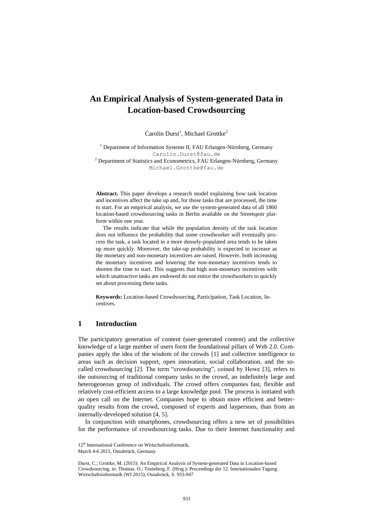# **An Empirical Analysis of System-generated Data in Location-based Crowdsourcing**

Carolin Durst<sup>1</sup>, Michael Grottke<sup>2</sup>

<sup>1</sup> Department of Information Systems II, FAU Erlangen-Nürnberg, Germany Carolin.Durst@fau.de <sup>2</sup> Department of Statistics and Econometrics, FAU Erlangen-Nürnberg, Germany Michael.Grottke@fau.de

**Abstract.** This paper develops a research model explaining how task location and incentives affect the take up and, for those tasks that are processed, the time to start. For an empirical analysis, we use the system-generated data of all 1860 location-based crowdsourcing tasks in Berlin available on the Streetspotr platform within one year.

The results indicate that while the population density of the task location does not influence the probability that some crowdworker will eventually process the task, a task located in a more densely-populated area tends to be taken up more quickly. Moreover, the take-up probability is expected to increase as the monetary and non-monetary incentives are raised. However, both increasing the monetary incentives and lowering the non-monetary incentives tends to shorten the time to start. This suggests that high non-monetary incentives with which unattractive tasks are endowed do not entice the crowdworkers to quickly set about processing these tasks.

**Keywords:** Location-based Crowdsourcing, Participation, Task Location, Incentives.

# **1 Introduction**

The participatory generation of content (user-generated content) and the collective knowledge of a large number of users form the foundational pillars of Web 2.0. Companies apply the idea of the wisdom of the crowds [1] and collective intelligence to areas such as decision support, open innovation, social collaboration, and the socalled crowdsourcing [2]. The term "crowdsourcing", coined by Howe [3], refers to the outsourcing of traditional company tasks to the crowd, an indefinitely large and heterogeneous group of individuals. The crowd offers companies fast, flexible and relatively cost-efficient access to a large knowledge pool. The process is initiated with an open call on the Internet. Companies hope to obtain more efficient and betterquality results from the crowd, composed of experts and laypersons, than from an internally-developed solution [4, 5].

In conjunction with smartphones, crowdsourcing offers a new set of possibilities for the performance of crowdsourcing tasks. Due to their Internet functionality and

<sup>12&</sup>lt;sup>th</sup> International Conference on Wirtschaftsinformatik,

March 4-6 2015, Osnabrück, Germany

Durst, C.; Grottke, M. (2015): An Empirical Analysis of System-generated Data in Location-based Crowdsourcing, in: Thomas. O.; Teuteberg, F. (Hrsg.): Proceedings der 12. Internationalen Tagung Wirtschaftsinformatik (WI 2015), Osnabrück, S. 933-947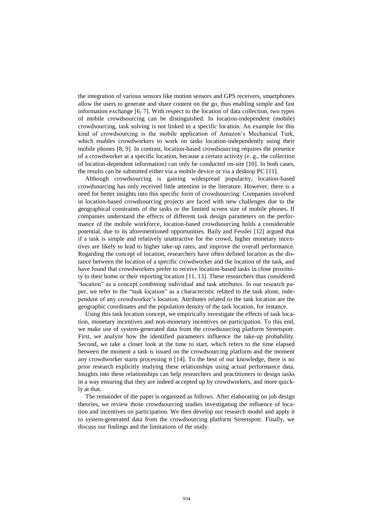the integration of various sensors like motion sensors and GPS receivers, smartphones allow the users to generate and share content on the go, thus enabling simple and fast information exchange [6, 7]. With respect to the location of data collection, two types of mobile crowdsourcing can be distinguished: In location-independent (mobile) crowdsourcing, task solving is not linked to a specific location. An example for this kind of crowdsourcing is the mobile application of Amazon's Mechanical Turk, which enables crowdworkers to work on tasks location-independently using their mobile phones [8, 9]. In contrast, location-based crowdsourcing requires the presence of a crowdworker at a specific location, because a certain activity (e. g., the collection of location-dependent information) can only be conducted on-site [10]. In both cases, the results can be submitted either via a mobile device or via a desktop PC [11].

Although crowdsourcing is gaining widespread popularity, location-based crowdsourcing has only received little attention in the literature. However, there is a need for better insights into this specific form of crowdsourcing: Companies involved in location-based crowdsourcing projects are faced with new challenges due to the geographical constraints of the tasks or the limited screen size of mobile phones. If companies understand the effects of different task design parameters on the performance of the mobile workforce, location-based crowdsourcing holds a considerable potential, due to its aforementioned opportunities. Baily and Fessler [12] argued that if a task is simple and relatively unattractive for the crowd, higher monetary incentives are likely to lead to higher take-up rates, and improve the overall performance. Regarding the concept of location, researchers have often defined location as the distance between the location of a specific crowdworker and the location of the task, and have found that crowdworkers prefer to receive location-based tasks in close proximity to their home or their reporting location [11, 13]. These researchers thus considered "location" as a concept combining individual and task attributes. In our research paper, we refer to the "task location" as a characteristic related to the task alone, independent of any crowdworker's location. Attributes related to the task location are the geographic coordinates and the population density of the task location, for instance.

Using this task location concept, we empirically investigate the effects of task location, monetary incentives and non-monetary incentives on participation. To this end, we make use of system-generated data from the crowdsourcing platform Streetspotr. First, we analyze how the identified parameters influence the take-up probability. Second, we take a closer look at the time to start, which refers to the time elapsed between the moment a task is issued on the crowdsourcing platform and the moment any crowdworker starts processing it [14]. To the best of our knowledge, there is no prior research explicitly studying these relationships using actual performance data. Insights into these relationships can help researchers and practitioners to design tasks in a way ensuring that they are indeed accepted up by crowdworkers, and more quickly at that.

The remainder of the paper is organized as follows. After elaborating on job design theories, we review those crowdsourcing studies investigating the influence of location and incentives on participation. We then develop our research model and apply it to system-generated data from the crowdsourcing platform Streetspotr. Finally, we discuss our findings and the limitations of the study.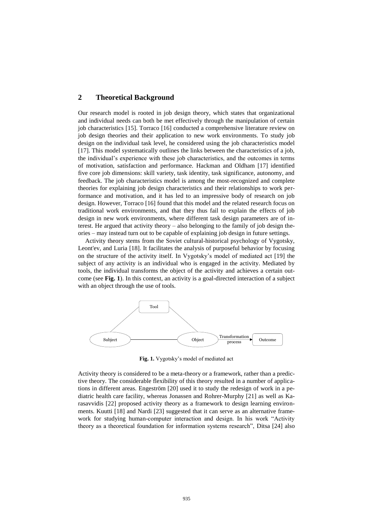# **2 Theoretical Background**

Our research model is rooted in job design theory, which states that organizational and individual needs can both be met effectively through the manipulation of certain job characteristics [15]. Torraco [16] conducted a comprehensive literature review on job design theories and their application to new work environments. To study job design on the individual task level, he considered using the job characteristics model [17]. This model systematically outlines the links between the characteristics of a job, the individual's experience with these job characteristics, and the outcomes in terms of motivation, satisfaction and performance. Hackman and Oldham [17] identified five core job dimensions: skill variety, task identity, task significance, autonomy, and feedback. The job characteristics model is among the most-recognized and complete theories for explaining job design characteristics and their relationships to work performance and motivation, and it has led to an impressive body of research on job design. However, Torraco [16] found that this model and the related research focus on traditional work environments, and that they thus fail to explain the effects of job design in new work environments, where different task design parameters are of interest. He argued that activity theory – also belonging to the family of job design theories – may instead turn out to be capable of explaining job design in future settings.

Activity theory stems from the Soviet cultural-historical psychology of Vygotsky, Leont'ev, and Luria [18]. It facilitates the analysis of purposeful behavior by focusing on the structure of the activity itself. In Vygotsky's model of mediated act [19] the subject of any activity is an individual who is engaged in the activity. Mediated by tools, the individual transforms the object of the activity and achieves a certain outcome (see **[Fig. 1](#page-3-0)**). In this context, an activity is a goal-directed interaction of a subject with an object through the use of tools.



**Fig. 1.** Vygotsky's model of mediated act

<span id="page-3-0"></span>Activity theory is considered to be a meta-theory or a framework, rather than a predictive theory. The considerable flexibility of this theory resulted in a number of applications in different areas. Engeström [20] used it to study the redesign of work in a pediatric health care facility, whereas Jonassen and Rohrer-Murphy [21] as well as Karasavvidis [22] proposed activity theory as a framework to design learning environments. Kuutti [18] and Nardi [23] suggested that it can serve as an alternative framework for studying human-computer interaction and design. In his work "Activity theory as a theoretical foundation for information systems research", Ditsa [24] also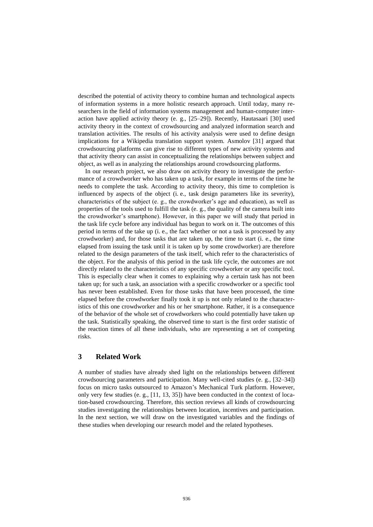described the potential of activity theory to combine human and technological aspects of information systems in a more holistic research approach. Until today, many researchers in the field of information systems management and human-computer interaction have applied activity theory (e. g., [25–29]). Recently, Hautasaari [30] used activity theory in the context of crowdsourcing and analyzed information search and translation activities. The results of his activity analysis were used to define design implications for a Wikipedia translation support system. Asmolov [31] argued that crowdsourcing platforms can give rise to different types of new activity systems and that activity theory can assist in conceptualizing the relationships between subject and object, as well as in analyzing the relationships around crowdsourcing platforms.

In our research project, we also draw on activity theory to investigate the performance of a crowdworker who has taken up a task, for example in terms of the time he needs to complete the task. According to activity theory, this time to completion is influenced by aspects of the object (i. e., task design parameters like its severity), characteristics of the subject (e. g., the crowdworker's age and education), as well as properties of the tools used to fulfill the task (e. g., the quality of the camera built into the crowdworker's smartphone). However, in this paper we will study that period in the task life cycle before any individual has begun to work on it. The outcomes of this period in terms of the take up (i. e., the fact whether or not a task is processed by any crowdworker) and, for those tasks that are taken up, the time to start (i. e., the time elapsed from issuing the task until it is taken up by some crowdworker) are therefore related to the design parameters of the task itself, which refer to the characteristics of the object. For the analysis of this period in the task life cycle, the outcomes are not directly related to the characteristics of any specific crowdworker or any specific tool. This is especially clear when it comes to explaining why a certain task has not been taken up; for such a task, an association with a specific crowdworker or a specific tool has never been established. Even for those tasks that have been processed, the time elapsed before the crowdworker finally took it up is not only related to the characteristics of this one crowdworker and his or her smartphone. Rather, it is a consequence of the behavior of the whole set of crowdworkers who could potentially have taken up the task. Statistically speaking, the observed time to start is the first order statistic of the reaction times of all these individuals, who are representing a set of competing risks.

# **3 Related Work**

A number of studies have already shed light on the relationships between different crowdsourcing parameters and participation. Many well-cited studies (e. g., [32–34]) focus on micro tasks outsourced to Amazon's Mechanical Turk platform. However, only very few studies (e. g., [11, 13, 35]) have been conducted in the context of location-based crowdsourcing. Therefore, this section reviews all kinds of crowdsourcing studies investigating the relationships between location, incentives and participation. In the next section, we will draw on the investigated variables and the findings of these studies when developing our research model and the related hypotheses.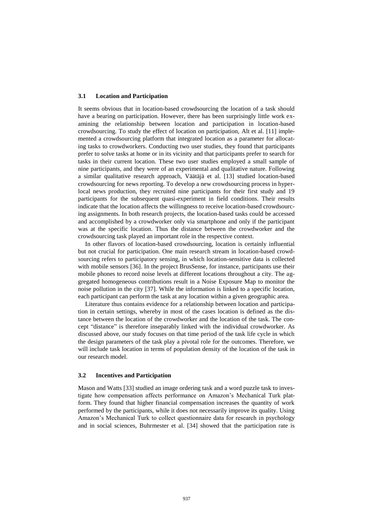#### **3.1 Location and Participation**

It seems obvious that in location-based crowdsourcing the location of a task should have a bearing on participation. However, there has been surprisingly little work examining the relationship between location and participation in location-based crowdsourcing. To study the effect of location on participation, Alt et al. [11] implemented a crowdsourcing platform that integrated location as a parameter for allocating tasks to crowdworkers. Conducting two user studies, they found that participants prefer to solve tasks at home or in its vicinity and that participants prefer to search for tasks in their current location. These two user studies employed a small sample of nine participants, and they were of an experimental and qualitative nature. Following a similar qualitative research approach, Väätäjä et al. [13] studied location-based crowdsourcing for news reporting. To develop a new crowdsourcing process in hyperlocal news production, they recruited nine participants for their first study and 19 participants for the subsequent quasi-experiment in field conditions. Their results indicate that the location affects the willingness to receive location-based crowdsourcing assignments. In both research projects, the location-based tasks could be accessed and accomplished by a crowdworker only via smartphone and only if the participant was at the specific location. Thus the distance between the crowdworker and the crowdsourcing task played an important role in the respective context.

In other flavors of location-based crowdsourcing, location is certainly influential but not crucial for participation. One main research stream in location-based crowdsourcing refers to participatory sensing, in which location-sensitive data is collected with mobile sensors [36]. In the project BrusSense, for instance, participants use their mobile phones to record noise levels at different locations throughout a city. The aggregated homogeneous contributions result in a Noise Exposure Map to monitor the noise pollution in the city [37]. While the information is linked to a specific location, each participant can perform the task at any location within a given geographic area.

Literature thus contains evidence for a relationship between location and participation in certain settings, whereby in most of the cases location is defined as the distance between the location of the crowdworker and the location of the task. The concept "distance" is therefore inseparably linked with the individual crowdworker. As discussed above, our study focuses on that time period of the task life cycle in which the design parameters of the task play a pivotal role for the outcomes. Therefore, we will include task location in terms of population density of the location of the task in our research model.

#### **3.2 Incentives and Participation**

Mason and Watts [33] studied an image ordering task and a word puzzle task to investigate how compensation affects performance on Amazon's Mechanical Turk platform. They found that higher financial compensation increases the quantity of work performed by the participants, while it does not necessarily improve its quality. Using Amazon's Mechanical Turk to collect questionnaire data for research in psychology and in social sciences, Buhrmester et al. [34] showed that the participation rate is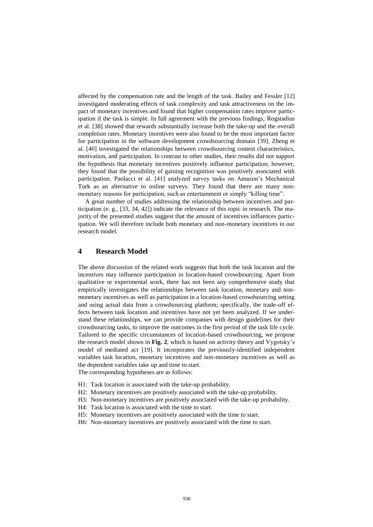affected by the compensation rate and the length of the task. Bailey and Fessler [12] investigated moderating effects of task complexity and task attractiveness on the impact of monetary incentives and found that higher compensation rates improve participation if the task is simple. In full agreement with the previous findings, Rogstadius et al. [38] showed that rewards substantially increase both the take-up and the overall completion rates. Monetary incentives were also found to be the most important factor for participation in the software development crowdsourcing domain [39]. Zheng et al. [40] investigated the relationships between crowdsourcing contest characteristics, motivation, and participation. In contrast to other studies, their results did not support the hypothesis that monetary incentives positively influence participation; however, they found that the possibility of gaining recognition was positively associated with participation. Paolacci et al. [41] analyzed survey tasks on Amazon's Mechanical Turk as an alternative to online surveys. They found that there are many nonmonetary reasons for participation, such as entertainment or simply "killing time".

A great number of studies addressing the relationship between incentives and participation (e. g., [33, 34, 42]) indicate the relevance of this topic in research. The majority of the presented studies suggest that the amount of incentives influences participation. We will therefore include both monetary and non-monetary incentives in our research model.

# **4 Research Model**

The above discussion of the related work suggests that both the task location and the incentives may influence participation in location-based crowdsourcing. Apart from qualitative or experimental work, there has not been any comprehensive study that empirically investigates the relationships between task location, monetary and nonmonetary incentives as well as participation in a location-based crowdsourcing setting and using actual data from a crowdsourcing platform; specifically, the trade-off effects between task location and incentives have not yet been analyzed. If we understand these relationships, we can provide companies with design guidelines for their crowdsourcing tasks, to improve the outcomes in the first period of the task life cycle. Tailored to the specific circumstances of location-based crowdsourcing, we propose the research model shown in **[Fig. 2](#page-7-0)**, which is based on activity theory and Vygotsky's model of mediated act [19]. It incorporates the previously-identified independent variables task location, monetary incentives and non-monetary incentives as well as the dependent variables take up and time to start.

The corresponding hypotheses are as follows:

- H1: Task location is associated with the take-up probability.
- H2: Monetary incentives are positively associated with the take-up probability.
- H3: Non-monetary incentives are positively associated with the take-up probability.
- H4: Task location is associated with the time to start.
- H5: Monetary incentives are positively associated with the time to start.
- H6: Non-monetary incentives are positively associated with the time to start.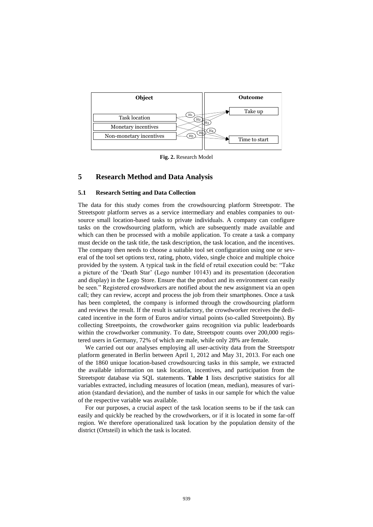

**Fig. 2.** Research Model

# <span id="page-7-0"></span>**5 Research Method and Data Analysis**

## **5.1 Research Setting and Data Collection**

The data for this study comes from the crowdsourcing platform Streetspotr. The Streetspotr platform serves as a service intermediary and enables companies to outsource small location-based tasks to private individuals. A company can configure tasks on the crowdsourcing platform, which are subsequently made available and which can then be processed with a mobile application. To create a task a company must decide on the task title, the task description, the task location, and the incentives. The company then needs to choose a suitable tool set configuration using one or several of the tool set options text, rating, photo, video, single choice and multiple choice provided by the system. A typical task in the field of retail execution could be: "Take a picture of the 'Death Star' (Lego number 10143) and its presentation (decoration and display) in the Lego Store. Ensure that the product and its environment can easily be seen." Registered crowdworkers are notified about the new assignment via an open call; they can review, accept and process the job from their smartphones. Once a task has been completed, the company is informed through the crowdsourcing platform and reviews the result. If the result is satisfactory, the crowdworker receives the dedicated incentive in the form of Euros and/or virtual points (so-called Streetpoints). By collecting Streetpoints, the crowdworker gains recognition via public leaderboards within the crowdworker community. To date, Streetspotr counts over 200,000 registered users in Germany, 72% of which are male, while only 28% are female.

We carried out our analyses employing all user-activity data from the Streetspotr platform generated in Berlin between April 1, 2012 and May 31, 2013. For each one of the 1860 unique location-based crowdsourcing tasks in this sample, we extracted the available information on task location, incentives, and participation from the Streetspotr database via SQL statements. **[Table 1](#page-8-0)** lists descriptive statistics for all variables extracted, including measures of location (mean, median), measures of variation (standard deviation), and the number of tasks in our sample for which the value of the respective variable was available.

For our purposes, a crucial aspect of the task location seems to be if the task can easily and quickly be reached by the crowdworkers, or if it is located in some far-off region. We therefore operationalized task location by the population density of the district (Ortsteil) in which the task is located.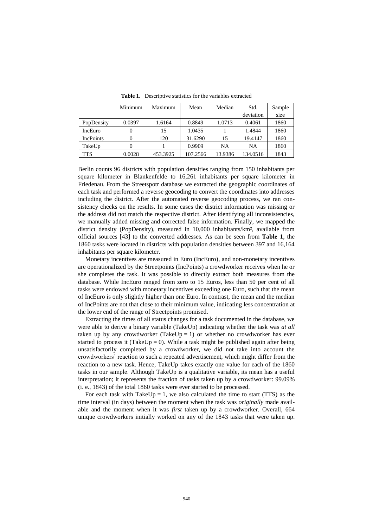<span id="page-8-0"></span>

|                  | Minimum | Maximum  | Mean     | Median    | Std.      | Sample |
|------------------|---------|----------|----------|-----------|-----------|--------|
|                  |         |          |          |           | deviation | size   |
| PopDensity       | 0.0397  | 1.6164   | 0.8849   | 1.0713    | 0.4061    | 1860   |
| IncEuro          |         | 15       | 1.0435   |           | 1.4844    | 1860   |
| <b>IncPoints</b> |         | 120      | 31.6290  | 15        | 19.4147   | 1860   |
| TakeUp           |         |          | 0.9909   | <b>NA</b> | NA        | 1860   |
| TTS              | 0.0028  | 453.3925 | 107.2566 | 13.9386   | 134.0516  | 1843   |

**Table 1.** Descriptive statistics for the variables extracted

Berlin counts 96 districts with population densities ranging from 150 inhabitants per square kilometer in Blankenfelde to 16,261 inhabitants per square kilometer in Friedenau. From the Streetspotr database we extracted the geographic coordinates of each task and performed a reverse geocoding to convert the coordinates into addresses including the district. After the automated reverse geocoding process, we ran consistency checks on the results. In some cases the district information was missing or the address did not match the respective district. After identifying all inconsistencies, we manually added missing and corrected false information. Finally, we mapped the district density (PopDensity), measured in 10,000 inhabitants/km², available from official sources [43] to the converted addresses. As can be seen from **[Table 1](#page-8-0)**, the 1860 tasks were located in districts with population densities between 397 and 16,164 inhabitants per square kilometer.

Monetary incentives are measured in Euro (IncEuro), and non-monetary incentives are operationalized by the Streetpoints (IncPoints) a crowdworker receives when he or she completes the task. It was possible to directly extract both measures from the database. While IncEuro ranged from zero to 15 Euros, less than 50 per cent of all tasks were endowed with monetary incentives exceeding one Euro, such that the mean of IncEuro is only slightly higher than one Euro. In contrast, the mean and the median of IncPoints are not that close to their minimum value, indicating less concentration at the lower end of the range of Streetpoints promised.

Extracting the times of all status changes for a task documented in the database, we were able to derive a binary variable (TakeUp) indicating whether the task was *at all* taken up by any crowdworker (TakeUp = 1) or whether no crowdworker has ever started to process it (TakeUp = 0). While a task might be published again after being unsatisfactorily completed by a crowdworker, we did not take into account the crowdworkers' reaction to such a repeated advertisement, which might differ from the reaction to a new task. Hence, TakeUp takes exactly one value for each of the 1860 tasks in our sample. Although TakeUp is a qualitative variable, its mean has a useful interpretation; it represents the fraction of tasks taken up by a crowdworker: 99.09% (i. e., 1843) of the total 1860 tasks were ever started to be processed.

For each task with TakeUp = 1, we also calculated the time to start (TTS) as the time interval (in days) between the moment when the task was *originally* made available and the moment when it was *first* taken up by a crowdworker. Overall, 664 unique crowdworkers initially worked on any of the 1843 tasks that were taken up.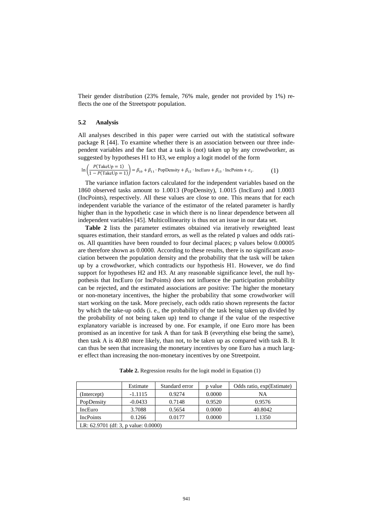Their gender distribution (23% female, 76% male, gender not provided by 1%) reflects the one of the Streetspotr population.

## **5.2 Analysis**

All analyses described in this paper were carried out with the statistical software package R [44]. To examine whether there is an association between our three independent variables and the fact that a task is (not) taken up by any crowdworker, as suggested by hypotheses H1 to H3, we employ a logit model of the form

$$
\ln\left(\frac{P(\text{TakeUp}=1)}{1 - P(\text{TakeUp}=1)}\right) = \beta_{10} + \beta_{11} \cdot \text{PopDensity} + \beta_{12} \cdot \text{IncEuro} + \beta_{13} \cdot \text{IncPoints} + \varepsilon_1. \tag{1}
$$

The variance inflation factors calculated for the independent variables based on the 1860 observed tasks amount to 1.0013 (PopDensity), 1.0015 (IncEuro) and 1.0003 (IncPoints), respectively. All these values are close to one. This means that for each independent variable the variance of the estimator of the related parameter is hardly higher than in the hypothetic case in which there is no linear dependence between all independent variables [45]. Multicollinearity is thus not an issue in our data set.

**Table 2** lists the parameter estimates obtained via iteratively reweighted least squares estimation, their standard errors, as well as the related p values and odds ratios. All quantities have been rounded to four decimal places; p values below 0.00005 are therefore shown as 0.0000. According to these results, there is no significant association between the population density and the probability that the task will be taken up by a crowdworker, which contradicts our hypothesis H1. However, we do find support for hypotheses H2 and H3. At any reasonable significance level, the null hypothesis that IncEuro (or IncPoints) does not influence the participation probability can be rejected, and the estimated associations are positive: The higher the monetary or non-monetary incentives, the higher the probability that some crowdworker will start working on the task. More precisely, each odds ratio shown represents the factor by which the take-up odds (i. e., the probability of the task being taken up divided by the probability of not being taken up) tend to change if the value of the respective explanatory variable is increased by one. For example, if one Euro more has been promised as an incentive for task A than for task B (everything else being the same), then task A is 40.80 more likely, than not, to be taken up as compared with task B. It can thus be seen that increasing the monetary incentives by one Euro has a much larger effect than increasing the non-monetary incentives by one Streetpoint.

**Table 2.** Regression results for the logit model in Equation (1)

|                                           | Estimate  | Standard error | p value | Odds ratio, exp(Estimate) |  |  |
|-------------------------------------------|-----------|----------------|---------|---------------------------|--|--|
| (Intercept)                               | $-1.1115$ | 0.9274         | 0.0000  | NΑ                        |  |  |
| PopDensity                                | $-0.0433$ | 0.7148         | 0.9520  | 0.9576                    |  |  |
| IncEuro                                   | 3.7088    | 0.5654         | 0.0000  | 40.8042                   |  |  |
| <b>IncPoints</b>                          | 0.1266    | 0.0177         | 0.0000  | 1.1350                    |  |  |
| LR: $62.9701$ (df: 3, p value: $0.0000$ ) |           |                |         |                           |  |  |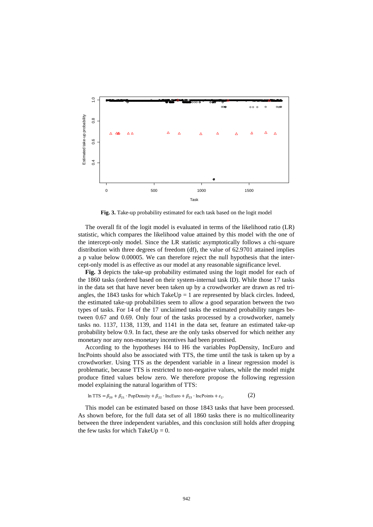

**Fig. 3.** Take-up probability estimated for each task based on the logit model

<span id="page-10-0"></span>The overall fit of the logit model is evaluated in terms of the likelihood ratio (LR) statistic, which compares the likelihood value attained by this model with the one of the intercept-only model. Since the LR statistic asymptotically follows a chi-square distribution with three degrees of freedom (df), the value of 62.9701 attained implies a p value below 0.00005. We can therefore reject the null hypothesis that the intercept-only model is as effective as our model at any reasonable significance level.

**[Fig. 3](#page-10-0)** depicts the take-up probability estimated using the logit model for each of the 1860 tasks (ordered based on their system-internal task ID). While those 17 tasks in the data set that have never been taken up by a crowdworker are drawn as red triangles, the 1843 tasks for which TakeUp = 1 are represented by black circles. Indeed, the estimated take-up probabilities seem to allow a good separation between the two types of tasks. For 14 of the 17 unclaimed tasks the estimated probability ranges between 0.67 and 0.69. Only four of the tasks processed by a crowdworker, namely tasks no. 1137, 1138, 1139, and 1141 in the data set, feature an estimated take-up probability below 0.9. In fact, these are the only tasks observed for which neither any monetary nor any non-monetary incentives had been promised.

According to the hypotheses H4 to H6 the variables PopDensity, IncEuro and IncPoints should also be associated with TTS, the time until the task is taken up by a crowdworker. Using TTS as the dependent variable in a linear regression model is problematic, because TTS is restricted to non-negative values, while the model might produce fitted values below zero. We therefore propose the following regression model explaining the natural logarithm of TTS:

ln TTS =  $\beta_{20} + \beta_{21} \cdot$  PopDensity +  $\beta_{22} \cdot$  IncEuro +  $\beta_{23} \cdot$  IncPoints +  $\varepsilon_2$ .  $(2)$ 

This model can be estimated based on those 1843 tasks that have been processed. As shown before, for the full data set of all 1860 tasks there is no multicollinearity between the three independent variables, and this conclusion still holds after dropping the few tasks for which TakeUp =  $0$ .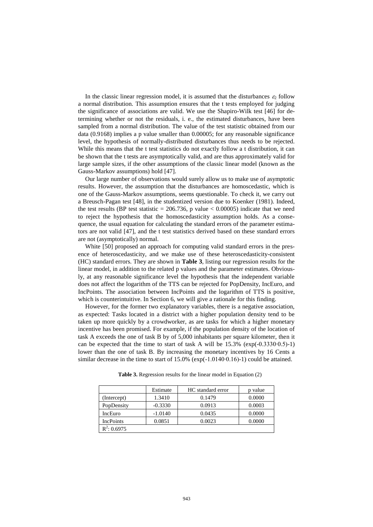In the classic linear regression model, it is assumed that the disturbances  $\varepsilon_2$  follow a normal distribution. This assumption ensures that the t tests employed for judging the significance of associations are valid. We use the Shapiro-Wilk test [46] for determining whether or not the residuals, i. e., the estimated disturbances, have been sampled from a normal distribution. The value of the test statistic obtained from our data (0.9168) implies a p value smaller than 0.00005; for any reasonable significance level, the hypothesis of normally-distributed disturbances thus needs to be rejected. While this means that the t test statistics do not exactly follow a t distribution, it can be shown that the t tests are asymptotically valid, and are thus approximately valid for large sample sizes, if the other assumptions of the classic linear model (known as the Gauss-Markov assumptions) hold [47].

Our large number of observations would surely allow us to make use of asymptotic results. However, the assumption that the disturbances are homoscedastic, which is one of the Gauss-Markov assumptions, seems questionable. To check it, we carry out a Breusch-Pagan test [48], in the studentized version due to Koenker (1981). Indeed, the test results (BP test statistic =  $206.736$ , p value <  $0.00005$ ) indicate that we need to reject the hypothesis that the homoscedasticity assumption holds. As a consequence, the usual equation for calculating the standard errors of the parameter estimators are not valid [47], and the t test statistics derived based on these standard errors are not (asymptotically) normal.

White [50] proposed an approach for computing valid standard errors in the presence of heteroscedasticity, and we make use of these heteroscedasticity-consistent (HC) standard errors. They are shown in **[Table 3](#page-11-0)**, listing our regression results for the linear model, in addition to the related p values and the parameter estimates. Obviously, at any reasonable significance level the hypothesis that the independent variable does not affect the logarithm of the TTS can be rejected for PopDensity, IncEuro, and IncPoints. The association between IncPoints and the logarithm of TTS is positive, which is counterintuitive. In Section 6, we will give a rationale for this finding.

However, for the former two explanatory variables, there is a negative association, as expected: Tasks located in a district with a higher population density tend to be taken up more quickly by a crowdworker, as are tasks for which a higher monetary incentive has been promised. For example, if the population density of the location of task A exceeds the one of task B by of 5,000 inhabitants per square kilometer, then it can be expected that the time to start of task A will be  $15.3\%$  (exp(-0.3330⋅0.5)-1) lower than the one of task B. By increasing the monetary incentives by 16 Cents a similar decrease in the time to start of 15.0% (exp(-1.0140∙0.16)-1) could be attained.

<span id="page-11-0"></span>

|                  | Estimate  | HC standard error | p value |
|------------------|-----------|-------------------|---------|
| (Intercept)      | 1.3410    | 0.1479            | 0.0000  |
| PopDensity       | $-0.3330$ | 0.0913            | 0.0003  |
| IncEuro          | $-1.0140$ | 0.0435            | 0.0000  |
| <b>IncPoints</b> | 0.0851    | 0.0023            | 0.0000  |
| $R^2$ : 0.6975   |           |                   |         |

**Table 3.** Regression results for the linear model in Equation (2)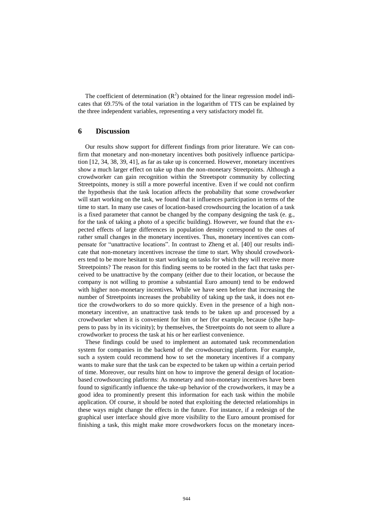The coefficient of determination  $(R^2)$  obtained for the linear regression model indicates that 69.75% of the total variation in the logarithm of TTS can be explained by the three independent variables, representing a very satisfactory model fit.

# **6 Discussion**

Our results show support for different findings from prior literature. We can confirm that monetary and non-monetary incentives both positively influence participation [12, 34, 38, 39, 41], as far as take up is concerned. However, monetary incentives show a much larger effect on take up than the non-monetary Streetpoints. Although a crowdworker can gain recognition within the Streetspotr community by collecting Streetpoints, money is still a more powerful incentive. Even if we could not confirm the hypothesis that the task location affects the probability that some crowdworker will start working on the task, we found that it influences participation in terms of the time to start. In many use cases of location-based crowdsourcing the location of a task is a fixed parameter that cannot be changed by the company designing the task (e. g., for the task of taking a photo of a specific building). However, we found that the expected effects of large differences in population density correspond to the ones of rather small changes in the monetary incentives. Thus, monetary incentives can compensate for "unattractive locations". In contrast to Zheng et al. [40] our results indicate that non-monetary incentives increase the time to start. Why should crowdworkers tend to be more hesitant to start working on tasks for which they will receive more Streetpoints? The reason for this finding seems to be rooted in the fact that tasks perceived to be unattractive by the company (either due to their location, or because the company is not willing to promise a substantial Euro amount) tend to be endowed with higher non-monetary incentives. While we have seen before that increasing the number of Streetpoints increases the probability of taking up the task, it does not entice the crowdworkers to do so more quickly. Even in the presence of a high nonmonetary incentive, an unattractive task tends to be taken up and processed by a crowdworker when it is convenient for him or her (for example, because (s)he happens to pass by in its vicinity); by themselves, the Streetpoints do not seem to allure a crowdworker to process the task at his or her earliest convenience.

These findings could be used to implement an automated task recommendation system for companies in the backend of the crowdsourcing platform. For example, such a system could recommend how to set the monetary incentives if a company wants to make sure that the task can be expected to be taken up within a certain period of time. Moreover, our results hint on how to improve the general design of locationbased crowdsourcing platforms: As monetary and non-monetary incentives have been found to significantly influence the take-up behavior of the crowdworkers, it may be a good idea to prominently present this information for each task within the mobile application. Of course, it should be noted that exploiting the detected relationships in these ways might change the effects in the future. For instance, if a redesign of the graphical user interface should give more visibility to the Euro amount promised for finishing a task, this might make more crowdworkers focus on the monetary incen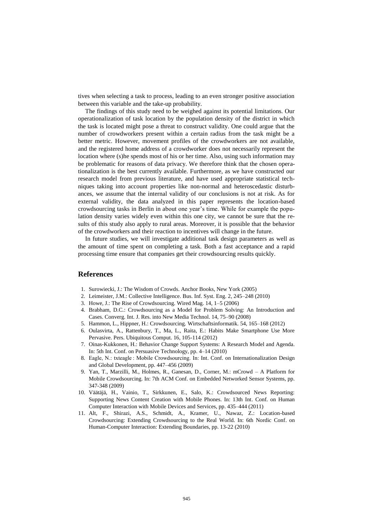tives when selecting a task to process, leading to an even stronger positive association between this variable and the take-up probability.

The findings of this study need to be weighed against its potential limitations. Our operationalization of task location by the population density of the district in which the task is located might pose a threat to construct validity. One could argue that the number of crowdworkers present within a certain radius from the task might be a better metric. However, movement profiles of the crowdworkers are not available, and the registered home address of a crowdworker does not necessarily represent the location where (s)he spends most of his or her time. Also, using such information may be problematic for reasons of data privacy. We therefore think that the chosen operationalization is the best currently available. Furthermore, as we have constructed our research model from previous literature, and have used appropriate statistical techniques taking into account properties like non-normal and heteroscedastic disturbances, we assume that the internal validity of our conclusions is not at risk. As for external validity, the data analyzed in this paper represents the location-based crowdsourcing tasks in Berlin in about one year's time. While for example the population density varies widely even within this one city, we cannot be sure that the results of this study also apply to rural areas. Moreover, it is possible that the behavior of the crowdworkers and their reaction to incentives will change in the future.

In future studies, we will investigate additional task design parameters as well as the amount of time spent on completing a task. Both a fast acceptance and a rapid processing time ensure that companies get their crowdsourcing results quickly.

## **References**

- 1. Surowiecki, J.: The Wisdom of Crowds. Anchor Books, New York (2005)
- 2. Leimeister, J.M.: Collective Intelligence. Bus. Inf. Syst. Eng. 2, 245–248 (2010)
- 3. Howe, J.: The Rise of Crowdsourcing. Wired Mag. 14, 1–5 (2006)
- 4. Brabham, D.C.: Crowdsourcing as a Model for Problem Solving: An Introduction and Cases. Converg. Int. J. Res. into New Media Technol. 14, 75–90 (2008)
- 5. Hammon, L., Hippner, H.: Crowdsourcing. Wirtschaftsinformatik. 54, 165–168 (2012)
- 6. Oulasvirta, A., Rattenbury, T., Ma, L., Raita, E.: Habits Make Smartphone Use More Pervasive. Pers. Ubiquitous Comput. 16, 105-114 (2012)
- 7. Oinas-Kukkonen, H.: Behavior Change Support Systems: A Research Model and Agenda. In: 5th Int. Conf. on Persuasive Technology, pp. 4–14 (2010)
- 8. Eagle, N.: txteagle : Mobile Crowdsourcing. In: Int. Conf. on Internationalization Design and Global Development, pp. 447–456 (2009)
- 9. Yan, T., Marzilli, M., Holmes, R., Ganesan, D., Corner, M.: mCrowd A Platform for Mobile Crowdsourcing. In: 7th ACM Conf. on Embedded Networked Sensor Systems, pp. 347-348 (2009)
- 10. Väätäjä, H., Vainio, T., Sirkkunen, E., Salo, K.: Crowdsourced News Reporting: Supporting News Content Creation with Mobile Phones. In: 13th Int. Conf. on Human Computer Interaction with Mobile Devices and Services, pp. 435–444 (2011)
- 11. Alt, F., Shirazi, A.S., Schmidt, A., Kramer, U., Nawaz, Z.: Location-based Crowdsourcing: Extending Crowdsourcing to the Real World. In: 6th Nordic Conf. on Human-Computer Interaction: Extending Boundaries, pp. 13-22 (2010)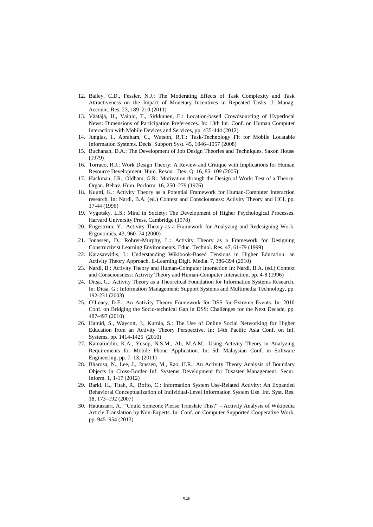- 12. Bailey, C.D., Fessler, N.J.: The Moderating Effects of Task Complexity and Task Attractiveness on the Impact of Monetary Incentives in Repeated Tasks. J. Manag. Account. Res. 23, 189–210 (2011)
- 13. Väätäjä, H., Vainio, T., Sirkkunen, E.: Location-based Crowdsourcing of Hyperlocal News: Dimensions of Participation Preferences. In: 13th Int. Conf. on Human Computer Interaction with Mobile Devices and Services, pp. 435-444 (2012)
- 14. Junglas, I., Abraham, C., Watson, R.T.: Task-Technology Fit for Mobile Locatable Information Systems. Decis. Support Syst. 45, 1046–1057 (2008)
- 15. Buchanan, D.A.: The Development of Job Design Theories and Techniques. Saxon House (1979)
- 16. Torraco, R.J.: Work Design Theory: A Review and Critique with Implications for Human Resource Development. Hum. Resour. Dev. Q. 16, 85–109 (2005)
- 17. Hackman, J.R., Oldham, G.R.: Motivation through the Design of Work: Test of a Theory. Organ. Behav. Hum. Perform. 16, 250–279 (1976)
- 18. Kuutti, K.: Activity Theory as a Potential Framework for Human-Computer Interaction research. In: Nardi, B.A. (ed.) Context and Consciousness: Activity Theory and HCI, pp. 17-44 (1996)
- 19. Vygotsky, L.S.: Mind in Society: The Development of Higher Psychological Processes. Harvard University Press, Cambridge (1978)
- 20. Engeström, Y.: Activity Theory as a Framework for Analyzing and Redesigning Work. Ergonomics. 43, 960–74 (2000)
- 21. Jonassen, D., Rohrer-Murphy, L.: Activity Theory as a Framework for Designing Constructivist Learning Environments. Educ. Technol. Res. 47, 61-79 (1999)
- 22. Karasavvidis, I.: Understanding Wikibook-Based Tensions in Higher Education: an Activity Theory Approach. E-Learning Digit. Media. 7, 386-394 (2010)
- 23. Nardi, B.: Activity Theory and Human-Computer Interaction In: Nardi, B.A. (ed.) Context and Consciousness: Activity Theory and Human-Computer Interaction, pp. 4-8 (1996)
- 24. Ditsa, G.: Activity Theory as a Theoretical Foundation for Information Systems Research. In: Ditsa. G.: Information Management: Support Systems and Multimedia Technology, pp. 192-231 (2003)
- 25. O'Leary, D.E.: An Activity Theory Framework for DSS for Extreme Events. In: 2010 Conf. on Bridging the Socio-technical Gap in DSS: Challenges for the Next Decade, pp. 487-497 (2010)
- 26. Hamid, S., Waycott, J., Kurnia, S.: The Use of Online Social Networking for Higher Education from an Activity Theory Perspective. In: 14th Pacific Asia Conf. on Inf. Systems, pp. 1414-1425 (2010)
- 27. Kamaruddin, K.A., Yusop, N.S.M., Ali, M.A.M.: Using Activity Theory in Analyzing Requirements for Mobile Phone Application. In: 5th Malaysian Conf. in Software Engineering, pp. 7–13. (2011)
- 28. Bharosa, N., Lee, J., Janssen, M., Rao, H.R.: An Activity Theory Analysis of Boundary Objects in Cross-Border Inf. Systems Development for Disaster Management. Secur. Inform. 1, 1-17 (2012)
- 29. Barki, H., Titah, R., Boffo, C.: Information System Use-Related Activity: An Expanded Behavioral Conceptualization of Individual-Level Information System Use. Inf. Syst. Res. 18, 173–192 (2007)
- 30. Hautasaari, A.: "Could Someone Please Translate This?" Activity Analysis of Wikipedia Article Translation by Non-Experts. In: Conf. on Computer Supported Cooperative Work, pp. 945–954 (2013)